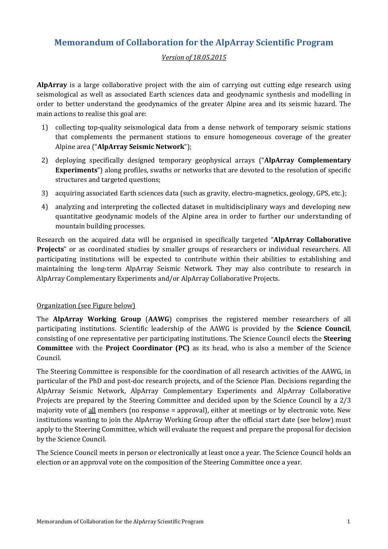# **Memorandum of Collaboration for the AlpArray Scientific Program**

## *Version of 18.05.2015*

**AlpArray** is a large collaborative project with the aim of carrying out cutting edge research using seismological as well as associated Earth sciences data and geodynamic synthesis and modelling in order to better understand the geodynamics of the greater Alpine area and its seismic hazard. The main actions to realise this goal are:

- 1) collecting top-quality seismological data from a dense network of temporary seismic stations that complements the permanent stations to ensure homogeneous coverage of the greater Alpine area ("**AlpArray Seismic Network**");
- 2) deploying specifically designed temporary geophysical arrays ("**AlpArray Complementary Experiments**") along profiles, swaths or networks that are devoted to the resolution of specific structures and targeted questions;
- 3) acquiring associated Earth sciences data (such as gravity, electro-magnetics, geology, GPS, etc.);
- 4) analyzing and interpreting the collected dataset in multidisciplinary ways and developing new quantitative geodynamic models of the Alpine area in order to further our understanding of mountain building processes.

Research on the acquired data will be organised in specifically targeted "**AlpArray Collaborative Projects**" or as coordinated studies by smaller groups of researchers or individual researchers. All participating institutions will be expected to contribute within their abilities to establishing and maintaining the long-term AlpArray Seismic Network. They may also contribute to research in AlpArray Complementary Experiments and/or AlpArray Collaborative Projects.

#### Organization (see Figure below)

The **AlpArray Working Group** (**AAWG**) comprises the registered member researchers of all participating institutions. Scientific leadership of the AAWG is provided by the **Science Council**, consisting of one representative per participating institutions. The Science Council elects the **Steering Committee** with the **Project Coordinator (PC)** as its head, who is also a member of the Science Council.

The Steering Committee is responsible for the coordination of all research activities of the AAWG, in particular of the PhD and post-doc research projects, and of the Science Plan. Decisions regarding the AlpArray Seismic Network, AlpArray Complementary Experiments and AlpArray Collaborative Projects are prepared by the Steering Committee and decided upon by the Science Council by a 2/3 majority vote of all members (no response = approval), either at meetings or by electronic vote. New institutions wanting to join the AlpArray Working Group after the official start date (see below) must apply to the Steering Committee, which will evaluate the request and prepare the proposal for decision by the Science Council.

The Science Council meets in person or electronically at least once a year. The Science Council holds an election or an approval vote on the composition of the Steering Committee once a year.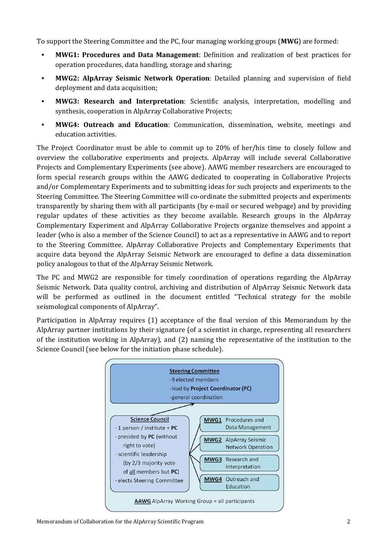To support the Steering Committee and the PC, four managing working groups (**MWG**) are formed:

- **• MWG1: Procedures and Data Management**: Definition and realization of best practices for operation procedures, data handling, storage and sharing;
- **• MWG2: AlpArray Seismic Network Operation**: Detailed planning and supervision of field deployment and data acquisition;
- **• MWG3: Research and Interpretation**: Scientific analysis, interpretation, modelling and synthesis, cooperation in AlpArray Collaborative Projects;
- **• MWG4: Outreach and Education**: Communication, dissemination, website, meetings and education activities.

The Project Coordinator must be able to commit up to 20% of her/his time to closely follow and overview the collaborative experiments and projects. AlpArray will include several Collaborative Projects and Complementary Experiments (see above). AAWG member researchers are encouraged to form special research groups within the AAWG dedicated to cooperating in Collaborative Projects and/or Complementary Experiments and to submitting ideas for such projects and experiments to the Steering Committee. The Steering Committee will co-ordinate the submitted projects and experiments transparently by sharing them with all participants (by e-mail or secured webpage) and by providing regular updates of these activities as they become available. Research groups in the AlpArray Complementary Experiment and AlpArray Collaborative Projects organize themselves and appoint a leader (who is also a member of the Science Council) to act as a representative in AAWG and to report to the Steering Committee. AlpArray Collaborative Projects and Complementary Experiments that acquire data beyond the AlpArray Seismic Network are encouraged to define a data dissemination policy analogous to that of the AlpArray Seismic Network.

The PC and MWG2 are responsible for timely coordination of operations regarding the AlpArray Seismic Network. Data quality control, archiving and distribution of AlpArray Seismic Network data will be performed as outlined in the document entitled "Technical strategy for the mobile seismological components of AlpArray".

Participation in AlpArray requires (1) acceptance of the final version of this Memorandum by the AlpArray partner institutions by their signature (of a scientist in charge, representing all researchers of the institution working in AlpArray), and (2) naming the representative of the institution to the Science Council (see below for the initiation phase schedule).

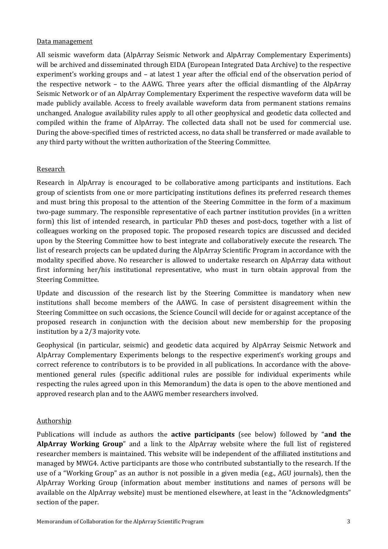#### Data management

All seismic waveform data (AlpArray Seismic Network and AlpArray Complementary Experiments) will be archived and disseminated through EIDA (European Integrated Data Archive) to the respective experiment's working groups and – at latest 1 year after the official end of the observation period of the respective network – to the AAWG. Three years after the official dismantling of the AlpArray Seismic Network or of an AlpArray Complementary Experiment the respective waveform data will be made publicly available. Access to freely available waveform data from permanent stations remains unchanged. Analogue availability rules apply to all other geophysical and geodetic data collected and compiled within the frame of AlpArray. The collected data shall not be used for commercial use. During the above-specified times of restricted access, no data shall be transferred or made available to any third party without the written authorization of the Steering Committee.

## Research

Research in AlpArray is encouraged to be collaborative among participants and institutions. Each group of scientists from one or more participating institutions defines its preferred research themes and must bring this proposal to the attention of the Steering Committee in the form of a maximum two-page summary. The responsible representative of each partner institution provides (in a written form) this list of intended research, in particular PhD theses and post-docs, together with a list of colleagues working on the proposed topic. The proposed research topics are discussed and decided upon by the Steering Committee how to best integrate and collaboratively execute the research. The list of research projects can be updated during the AlpArray Scientific Program in accordance with the modality specified above. No researcher is allowed to undertake research on AlpArray data without first informing her/his institutional representative, who must in turn obtain approval from the Steering Committee.

Update and discussion of the research list by the Steering Committee is mandatory when new institutions shall become members of the AAWG. In case of persistent disagreement within the Steering Committee on such occasions, the Science Council will decide for or against acceptance of the proposed research in conjunction with the decision about new membership for the proposing institution by a 2/3 majority vote.

Geophysical (in particular, seismic) and geodetic data acquired by AlpArray Seismic Network and AlpArray Complementary Experiments belongs to the respective experiment's working groups and correct reference to contributors is to be provided in all publications. In accordance with the abovementioned general rules (specific additional rules are possible for individual experiments while respecting the rules agreed upon in this Memorandum) the data is open to the above mentioned and approved research plan and to the AAWG member researchers involved.

#### Authorship

Publications will include as authors the **active participants** (see below) followed by "**and the AlpArray Working Group**" and a link to the AlpArray website where the full list of registered researcher members is maintained. This website will be independent of the affiliated institutions and managed by MWG4. Active participants are those who contributed substantially to the research. If the use of a "Working Group" as an author is not possible in a given media (e.g., AGU journals), then the AlpArray Working Group (information about member institutions and names of persons will be available on the AlpArray website) must be mentioned elsewhere, at least in the "Acknowledgments" section of the paper.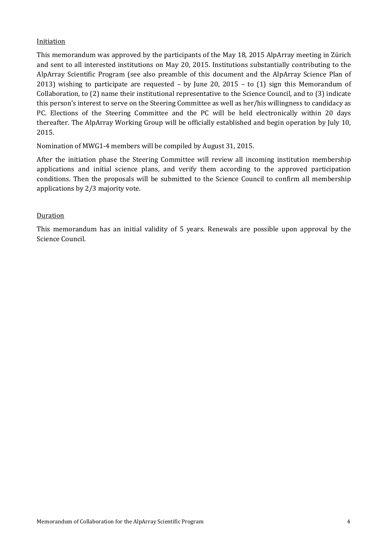## **Initiation**

This memorandum was approved by the participants of the May 18, 2015 AlpArray meeting in Zürich and sent to all interested institutions on May 20, 2015. Institutions substantially contributing to the AlpArray Scientific Program (see also preamble of this document and the AlpArray Science Plan of 2013) wishing to participate are requested – by June 20, 2015 – to (1) sign this Memorandum of Collaboration, to (2) name their institutional representative to the Science Council, and to (3) indicate this person's interest to serve on the Steering Committee as well as her/his willingness to candidacy as PC. Elections of the Steering Committee and the PC will be held electronically within 20 days thereafter. The AlpArray Working Group will be officially established and begin operation by July 10, 2015.

Nomination of MWG1-4 members will be compiled by August 31, 2015.

After the initiation phase the Steering Committee will review all incoming institution membership applications and initial science plans, and verify them according to the approved participation conditions. Then the proposals will be submitted to the Science Council to confirm all membership applications by 2/3 majority vote.

## **Duration**

This memorandum has an initial validity of 5 years. Renewals are possible upon approval by the Science Council.